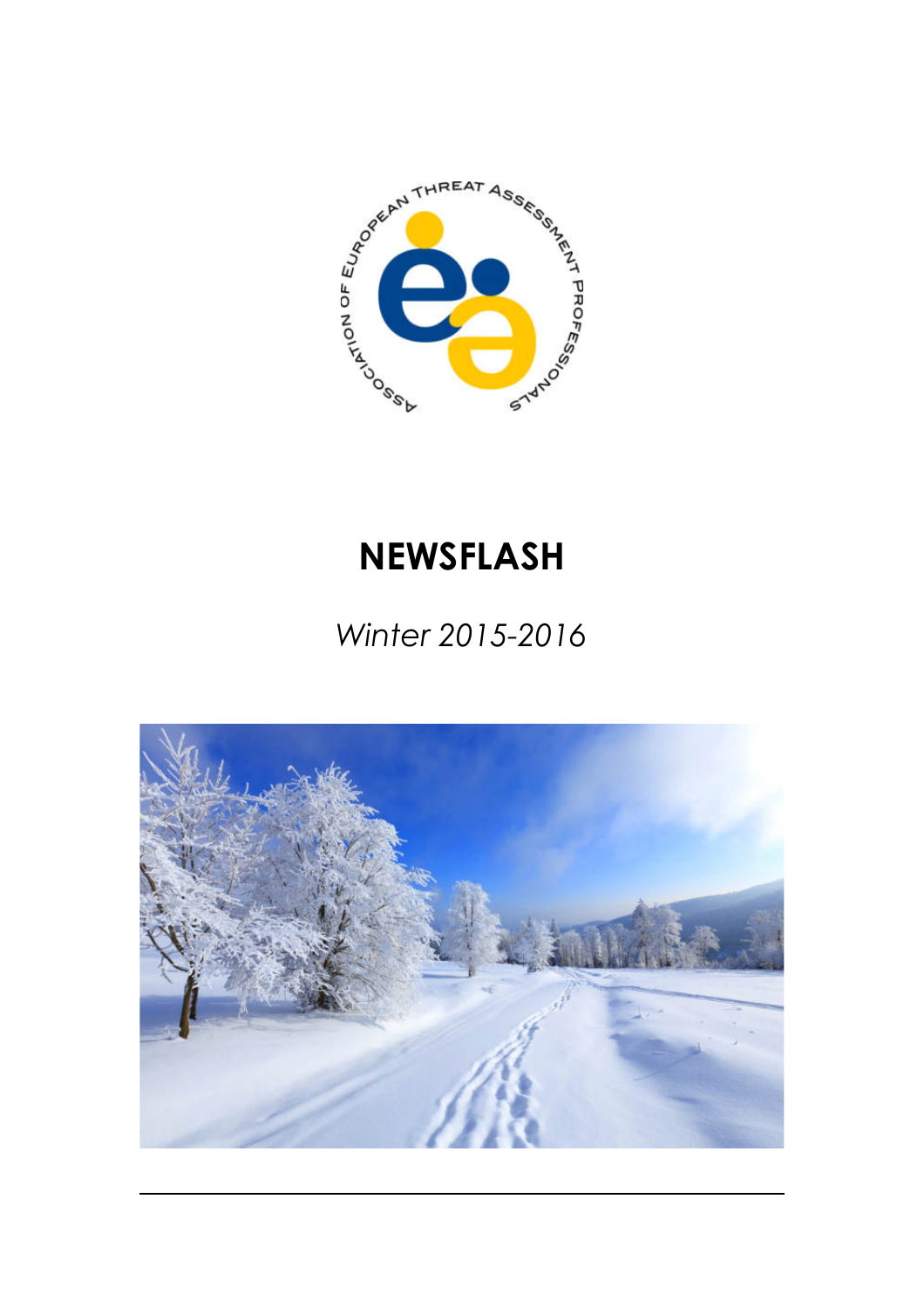

# **NEWSFLASH**

## *Winter 2015-2016*

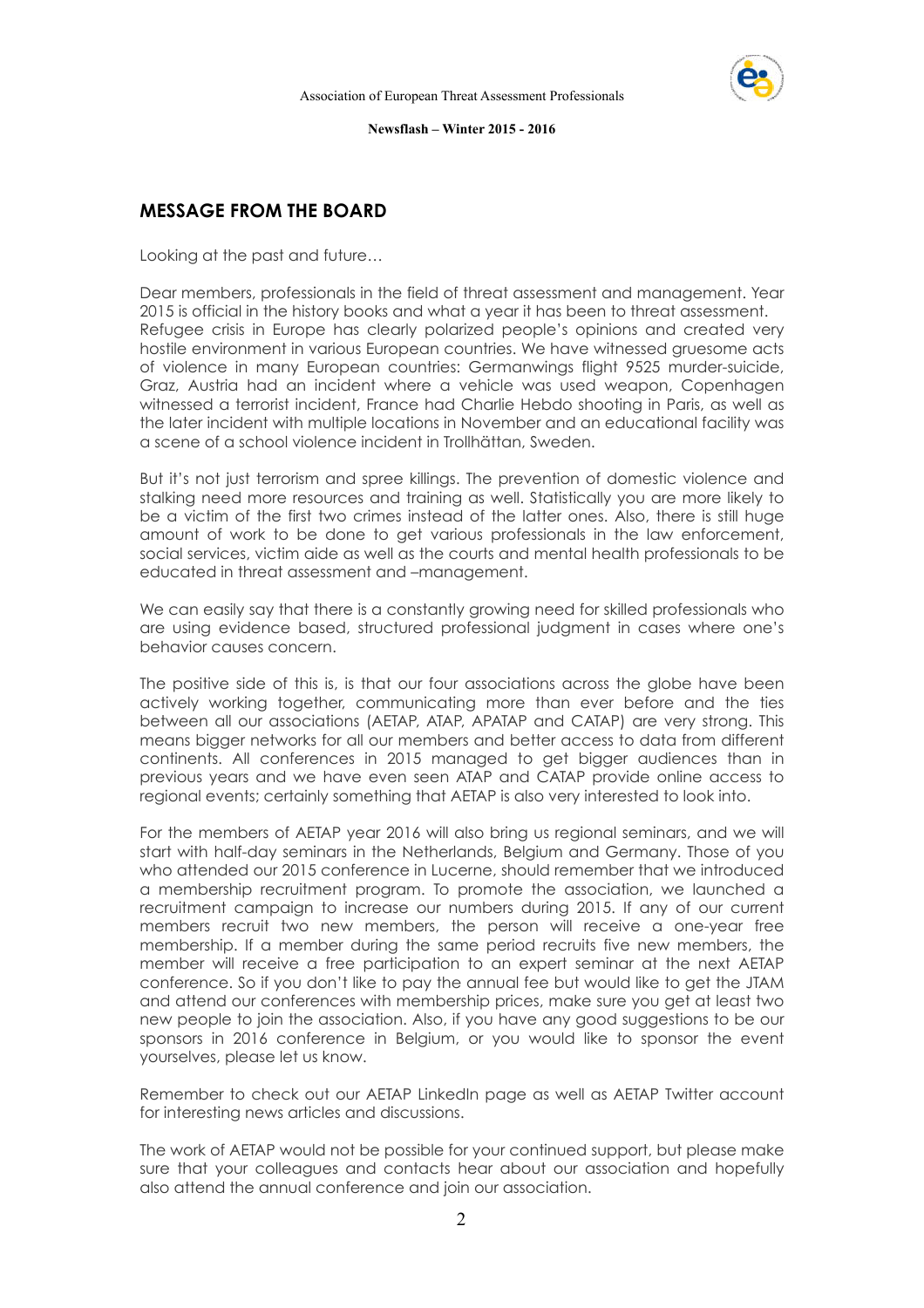

## **MESSAGE FROM THE BOARD**

Looking at the past and future…

Dear members, professionals in the field of threat assessment and management. Year 2015 is official in the history books and what a year it has been to threat assessment. Refugee crisis in Europe has clearly polarized people's opinions and created very hostile environment in various European countries. We have witnessed gruesome acts of violence in many European countries: Germanwings flight 9525 murder-suicide, Graz, Austria had an incident where a vehicle was used weapon, Copenhagen witnessed a terrorist incident, France had Charlie Hebdo shooting in Paris, as well as the later incident with multiple locations in November and an educational facility was a scene of a school violence incident in Trollhättan, Sweden.

But it's not just terrorism and spree killings. The prevention of domestic violence and stalking need more resources and training as well. Statistically you are more likely to be a victim of the first two crimes instead of the latter ones. Also, there is still huge amount of work to be done to get various professionals in the law enforcement, social services, victim aide as well as the courts and mental health professionals to be educated in threat assessment and –management.

We can easily say that there is a constantly growing need for skilled professionals who are using evidence based, structured professional judgment in cases where one's behavior causes concern.

The positive side of this is, is that our four associations across the globe have been actively working together, communicating more than ever before and the ties between all our associations (AETAP, ATAP, APATAP and CATAP) are very strong. This means bigger networks for all our members and better access to data from different continents. All conferences in 2015 managed to get bigger audiences than in previous years and we have even seen ATAP and CATAP provide online access to regional events; certainly something that AETAP is also very interested to look into.

For the members of AETAP year 2016 will also bring us regional seminars, and we will start with half-day seminars in the Netherlands, Belgium and Germany. Those of you who attended our 2015 conference in Lucerne, should remember that we introduced a membership recruitment program. To promote the association, we launched a recruitment campaign to increase our numbers during 2015. If any of our current members recruit two new members, the person will receive a one-year free membership. If a member during the same period recruits five new members, the member will receive a free participation to an expert seminar at the next AETAP conference. So if you don't like to pay the annual fee but would like to get the JTAM and attend our conferences with membership prices, make sure you get at least two new people to join the association. Also, if you have any good suggestions to be our sponsors in 2016 conference in Belgium, or you would like to sponsor the event yourselves, please let us know.

Remember to check out our AETAP LinkedIn page as well as AETAP Twitter account for interesting news articles and discussions.

The work of AETAP would not be possible for your continued support, but please make sure that your colleagues and contacts hear about our association and hopefully also attend the annual conference and join our association.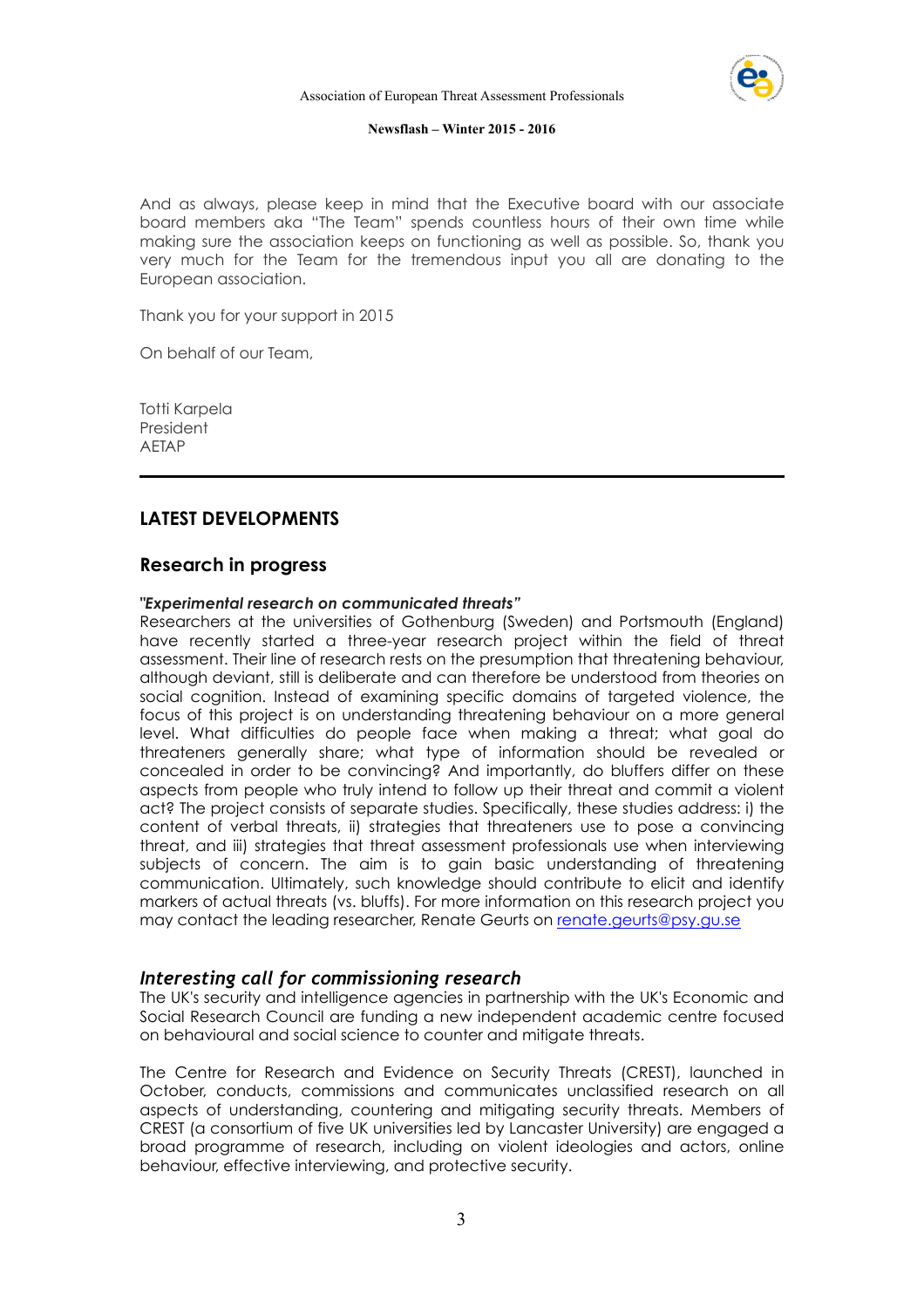

And as always, please keep in mind that the Executive board with our associate board members aka "The Team" spends countless hours of their own time while making sure the association keeps on functioning as well as possible. So, thank you very much for the Team for the tremendous input you all are donating to the European association.

Thank you for your support in 2015

On behalf of our Team,

Totti Karpela President AETAP

## **LATEST DEVELOPMENTS**

### **Research in progress**

#### *"Experimental research on communicated threats"*

Researchers at the universities of Gothenburg (Sweden) and Portsmouth (England) have recently started a three-year research project within the field of threat assessment. Their line of research rests on the presumption that threatening behaviour, although deviant, still is deliberate and can therefore be understood from theories on social cognition. Instead of examining specific domains of targeted violence, the focus of this project is on understanding threatening behaviour on a more general level. What difficulties do people face when making a threat; what goal do threateners generally share; what type of information should be revealed or concealed in order to be convincing? And importantly, do bluffers differ on these aspects from people who truly intend to follow up their threat and commit a violent act? The project consists of separate studies. Specifically, these studies address: i) the content of verbal threats, ii) strategies that threateners use to pose a convincing threat, and iii) strategies that threat assessment professionals use when interviewing subjects of concern. The aim is to gain basic understanding of threatening communication. Ultimately, such knowledge should contribute to elicit and identify markers of actual threats (vs. bluffs). For more information on this research project you may contact the leading researcher, Renate Geurts on renate.geurts@psy.gu.se

#### *Interesting call for commissioning research*

The UK's security and intelligence agencies in partnership with the UK's Economic and Social Research Council are funding a new independent academic centre focused on behavioural and social science to counter and mitigate threats.

The Centre for Research and Evidence on Security Threats (CREST), launched in October, conducts, commissions and communicates unclassified research on all aspects of understanding, countering and mitigating security threats. Members of CREST (a consortium of five UK universities led by Lancaster University) are engaged a broad programme of research, including on violent ideologies and actors, online behaviour, effective interviewing, and protective security.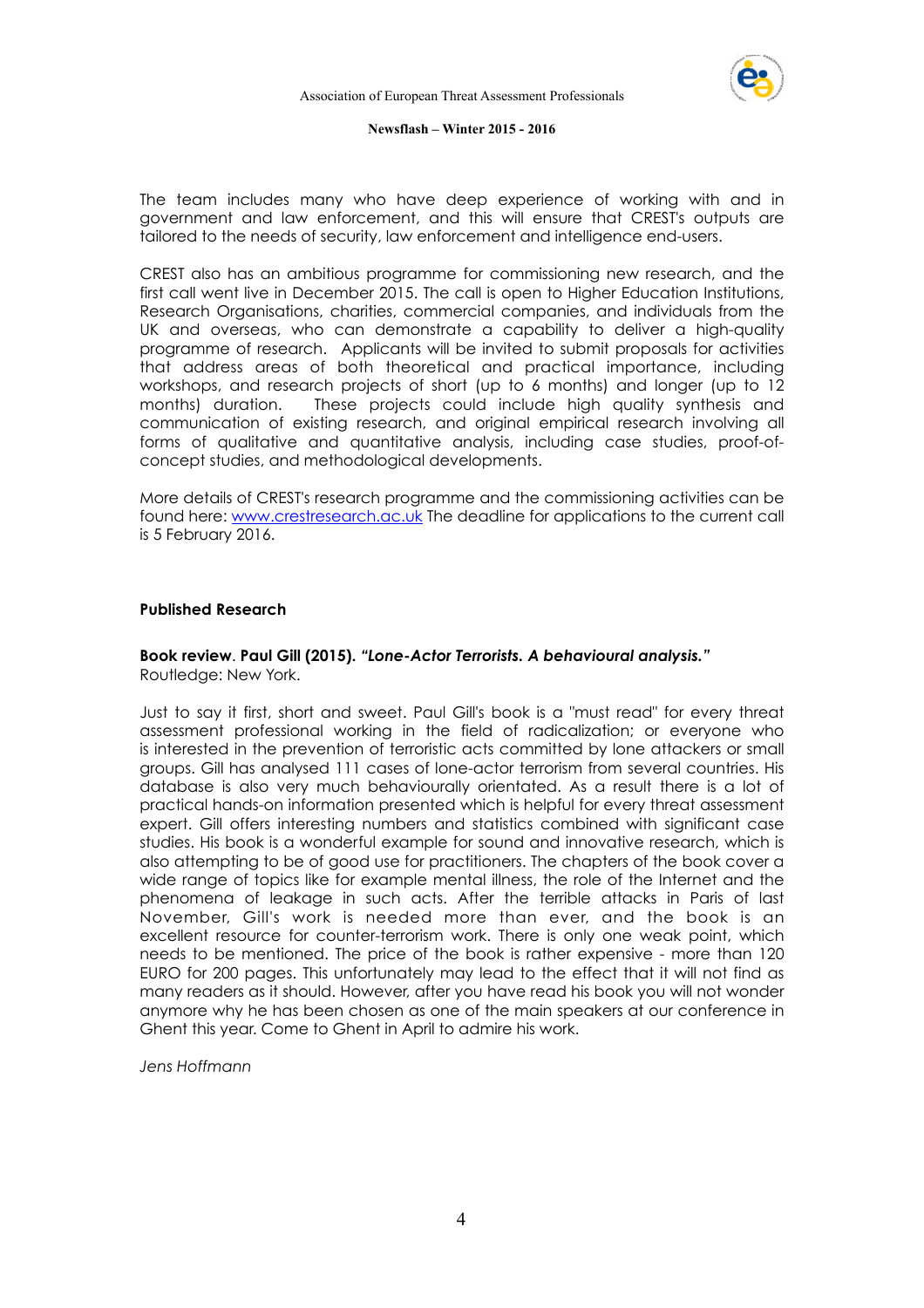

The team includes many who have deep experience of working with and in government and law enforcement, and this will ensure that CREST's outputs are tailored to the needs of security, law enforcement and intelligence end-users.

CREST also has an ambitious programme for commissioning new research, and the first call went live in December 2015. The call is open to Higher Education Institutions, Research Organisations, charities, commercial companies, and individuals from the UK and overseas, who can demonstrate a capability to deliver a high-quality programme of research. Applicants will be invited to submit proposals for activities that address areas of both theoretical and practical importance, including workshops, and research projects of short (up to 6 months) and longer (up to 12 months) duration. These projects could include high quality synthesis and communication of existing research, and original empirical research involving all forms of qualitative and quantitative analysis, including case studies, proof-ofconcept studies, and methodological developments.

More details of CREST's research programme and the commissioning activities can be found here: www.crestresearch.ac.uk The deadline for applications to the current call is 5 February 2016.

#### **Published Research**

#### **Book review**. **Paul Gill (2015).** *"Lone-Actor Terrorists. A behavioural analysis."* Routledge: New York.

Just to say it first, short and sweet. Paul Gill's book is a "must read" for every threat assessment professional working in the field of radicalization; or everyone who is interested in the prevention of terroristic acts committed by lone attackers or small groups. Gill has analysed 111 cases of lone-actor terrorism from several countries. His database is also very much behaviourally orientated. As a result there is a lot of practical hands-on information presented which is helpful for every threat assessment expert. Gill offers interesting numbers and statistics combined with significant case studies. His book is a wonderful example for sound and innovative research, which is also attempting to be of good use for practitioners. The chapters of the book cover a wide range of topics like for example mental illness, the role of the Internet and the phenomena of leakage in such acts. After the terrible attacks in Paris of last November, Gill's work is needed more than ever, and the book is an excellent resource for counter-terrorism work. There is only one weak point, which needs to be mentioned. The price of the book is rather expensive - more than 120 EURO for 200 pages. This unfortunately may lead to the effect that it will not find as many readers as it should. However, after you have read his book you will not wonder anymore why he has been chosen as one of the main speakers at our conference in Ghent this year. Come to Ghent in April to admire his work.

*Jens Hoffmann*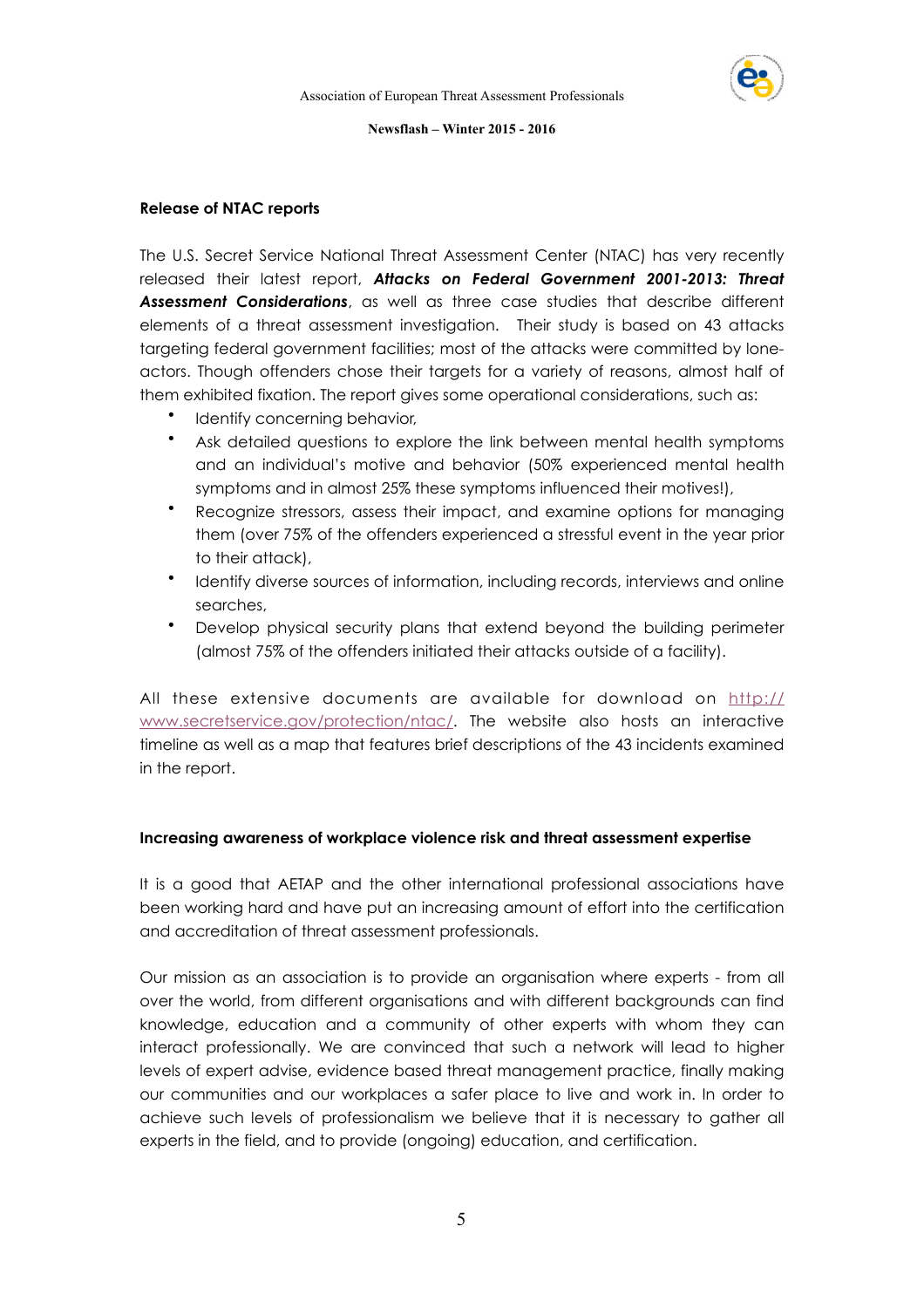

#### **Release of NTAC reports**

The U.S. Secret Service National Threat Assessment Center (NTAC) has very recently released their latest report, *Attacks on Federal Government 2001-2013: Threat Assessment Considerations*, as well as three case studies that describe different elements of a threat assessment investigation. Their study is based on 43 attacks targeting federal government facilities; most of the attacks were committed by loneactors. Though offenders chose their targets for a variety of reasons, almost half of them exhibited fixation. The report gives some operational considerations, such as:

- Identify concerning behavior,
- Ask detailed questions to explore the link between mental health symptoms and an individual's motive and behavior (50% experienced mental health symptoms and in almost 25% these symptoms influenced their motives!),
- Recognize stressors, assess their impact, and examine options for managing them (over 75% of the offenders experienced a stressful event in the year prior to their attack),
- Identify diverse sources of information, including records, interviews and online searches,
- Develop physical security plans that extend beyond the building perimeter (almost 75% of the offenders initiated their attacks outside of a facility).

All these extensive documents are available for download on http:// www.secretservice.gov/protection/ntac/. The website also hosts an interactive timeline as well as a map that features brief descriptions of the 43 incidents examined in the report.

#### **Increasing awareness of workplace violence risk and threat assessment expertise**

It is a good that AETAP and the other international professional associations have been working hard and have put an increasing amount of effort into the certification and accreditation of threat assessment professionals.

Our mission as an association is to provide an organisation where experts - from all over the world, from different organisations and with different backgrounds can find knowledge, education and a community of other experts with whom they can interact professionally. We are convinced that such a network will lead to higher levels of expert advise, evidence based threat management practice, finally making our communities and our workplaces a safer place to live and work in. In order to achieve such levels of professionalism we believe that it is necessary to gather all experts in the field, and to provide (ongoing) education, and certification.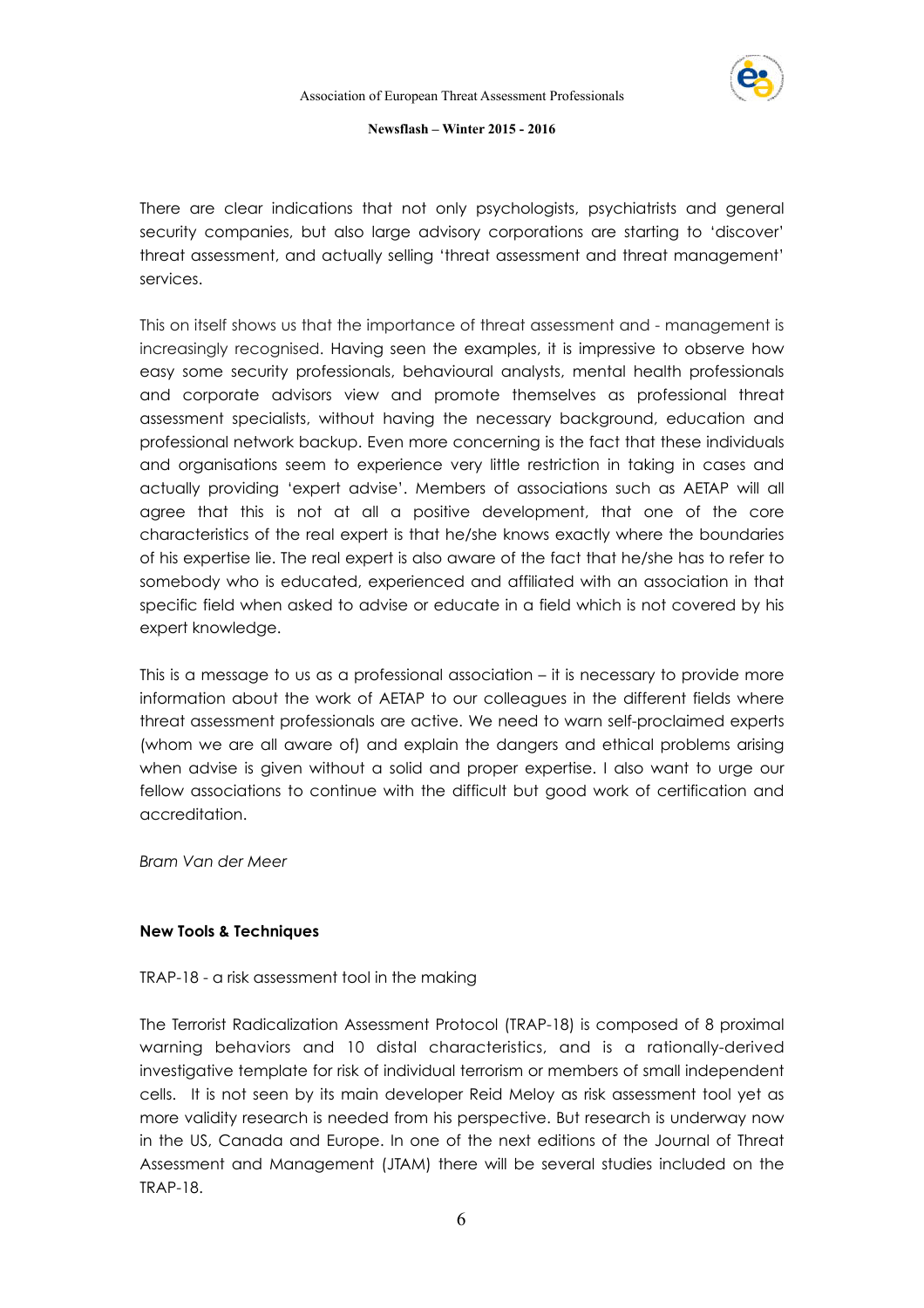

There are clear indications that not only psychologists, psychiatrists and general security companies, but also large advisory corporations are starting to 'discover' threat assessment, and actually selling 'threat assessment and threat management' services.

This on itself shows us that the importance of threat assessment and - management is increasingly recognised. Having seen the examples, it is impressive to observe how easy some security professionals, behavioural analysts, mental health professionals and corporate advisors view and promote themselves as professional threat assessment specialists, without having the necessary background, education and professional network backup. Even more concerning is the fact that these individuals and organisations seem to experience very little restriction in taking in cases and actually providing 'expert advise'. Members of associations such as AETAP will all agree that this is not at all a positive development, that one of the core characteristics of the real expert is that he/she knows exactly where the boundaries of his expertise lie. The real expert is also aware of the fact that he/she has to refer to somebody who is educated, experienced and affiliated with an association in that specific field when asked to advise or educate in a field which is not covered by his expert knowledge.

This is a message to us as a professional association – it is necessary to provide more information about the work of AETAP to our colleagues in the different fields where threat assessment professionals are active. We need to warn self-proclaimed experts (whom we are all aware of) and explain the dangers and ethical problems arising when advise is given without a solid and proper expertise. I also want to urge our fellow associations to continue with the difficult but good work of certification and accreditation.

*Bram Van der Meer* 

#### **New Tools & Techniques**

#### TRAP-18 - a risk assessment tool in the making

The Terrorist Radicalization Assessment Protocol (TRAP-18) is composed of 8 proximal warning behaviors and 10 distal characteristics, and is a rationally-derived investigative template for risk of individual terrorism or members of small independent cells. It is not seen by its main developer Reid Meloy as risk assessment tool yet as more validity research is needed from his perspective. But research is underway now in the US, Canada and Europe. In one of the next editions of the Journal of Threat Assessment and Management (JTAM) there will be several studies included on the TRAP-18.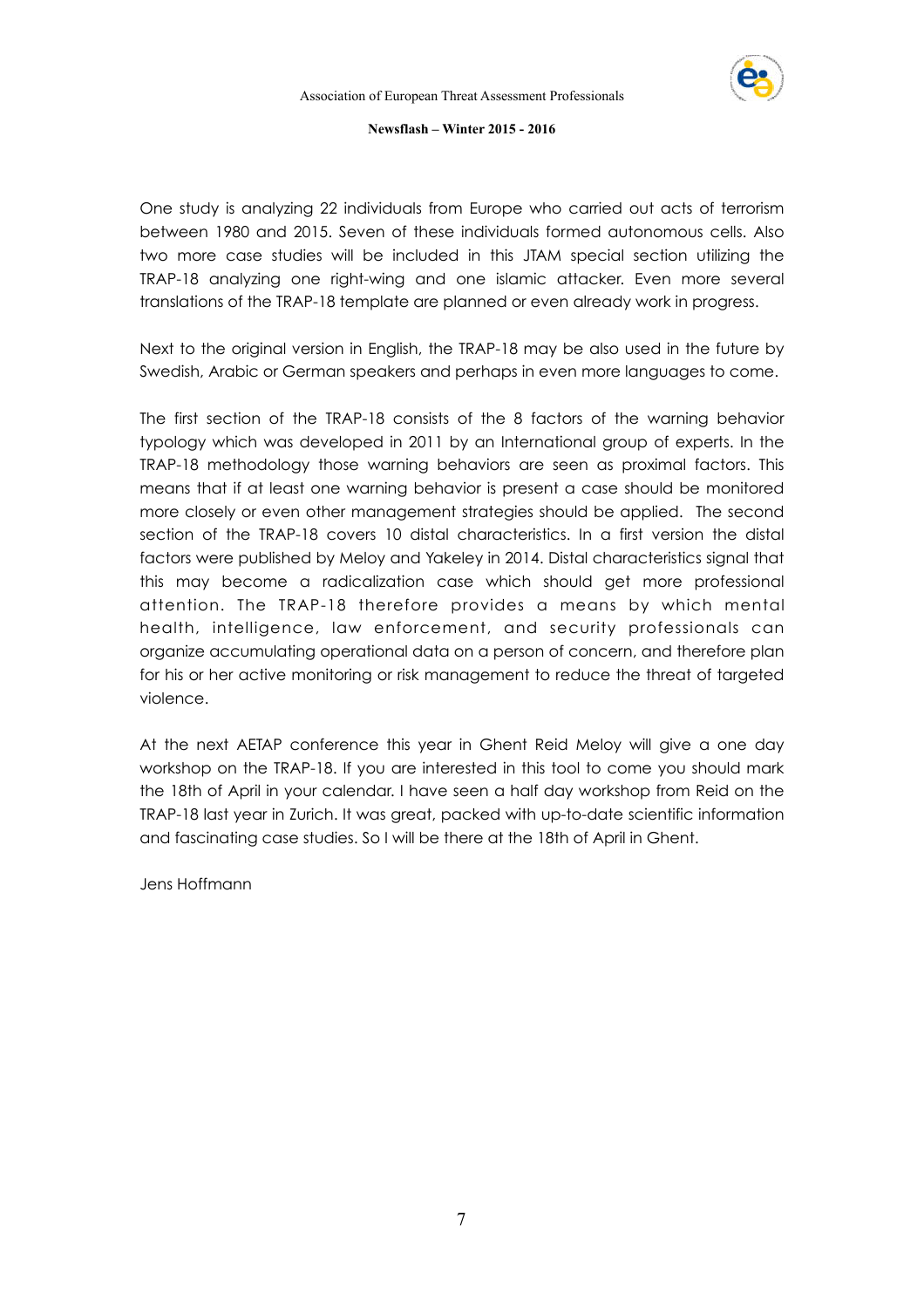

One study is analyzing 22 individuals from Europe who carried out acts of terrorism between 1980 and 2015. Seven of these individuals formed autonomous cells. Also two more case studies will be included in this JTAM special section utilizing the TRAP-18 analyzing one right-wing and one islamic attacker. Even more several translations of the TRAP-18 template are planned or even already work in progress.

Next to the original version in English, the TRAP-18 may be also used in the future by Swedish, Arabic or German speakers and perhaps in even more languages to come.

The first section of the TRAP-18 consists of the 8 factors of the warning behavior typology which was developed in 2011 by an International group of experts. In the TRAP-18 methodology those warning behaviors are seen as proximal factors. This means that if at least one warning behavior is present a case should be monitored more closely or even other management strategies should be applied. The second section of the TRAP-18 covers 10 distal characteristics. In a first version the distal factors were published by Meloy and Yakeley in 2014. Distal characteristics signal that this may become a radicalization case which should get more professional attention. The TRAP-18 therefore provides a means by which mental health, intelligence, law enforcement, and security professionals can organize accumulating operational data on a person of concern, and therefore plan for his or her active monitoring or risk management to reduce the threat of targeted violence.

At the next AETAP conference this year in Ghent Reid Meloy will give a one day workshop on the TRAP-18. If you are interested in this tool to come you should mark the 18th of April in your calendar. I have seen a half day workshop from Reid on the TRAP-18 last year in Zurich. It was great, packed with up-to-date scientific information and fascinating case studies. So I will be there at the 18th of April in Ghent.

Jens Hoffmann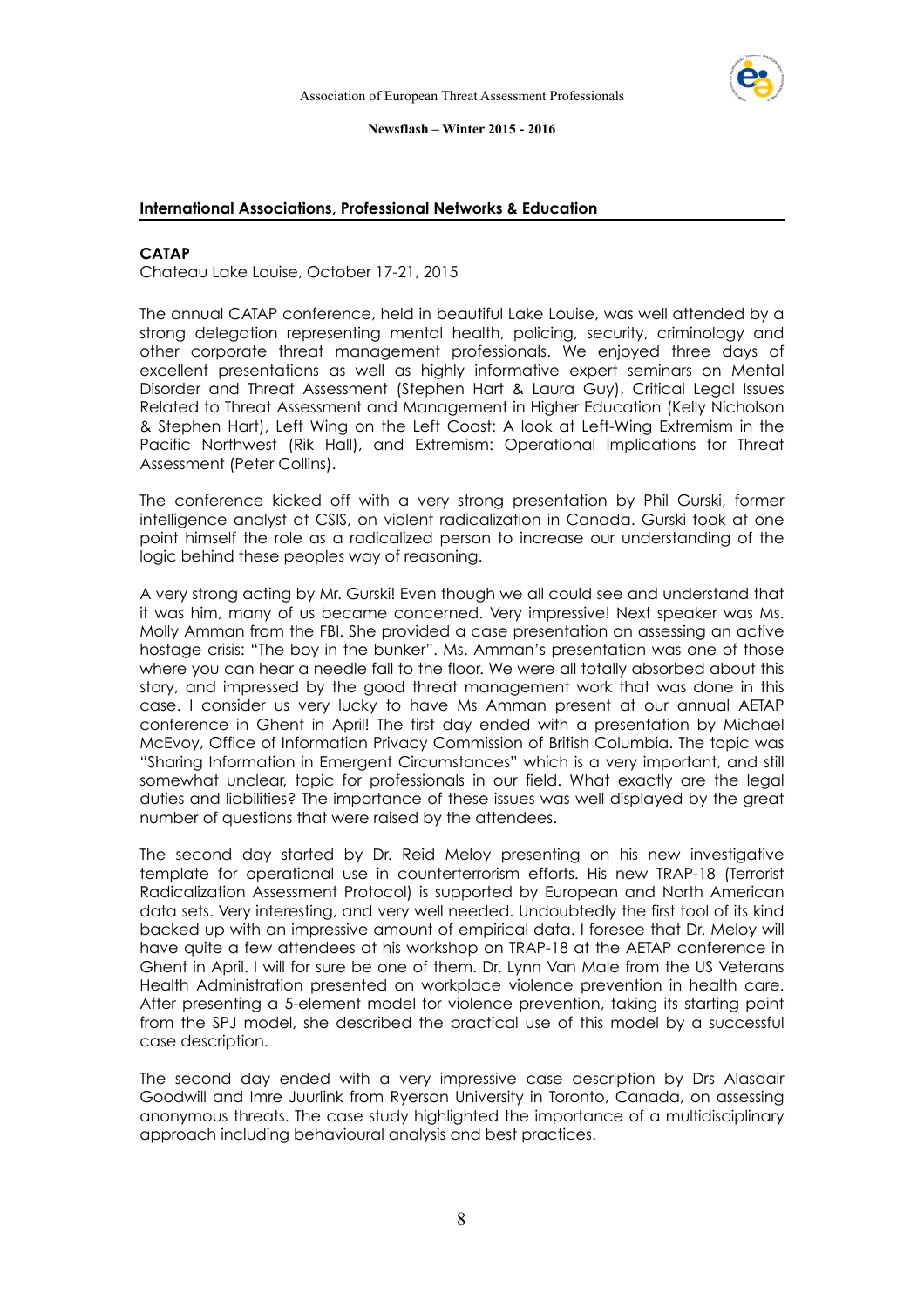

#### **International Associations, Professional Networks & Education**

#### **CATAP**

Chateau Lake Louise, October 17-21, 2015

The annual CATAP conference, held in beautiful Lake Louise, was well attended by a strong delegation representing mental health, policing, security, criminology and other corporate threat management professionals. We enjoyed three days of excellent presentations as well as highly informative expert seminars on Mental Disorder and Threat Assessment (Stephen Hart & Laura Guy), Critical Legal Issues Related to Threat Assessment and Management in Higher Education (Kelly Nicholson & Stephen Hart), Left Wing on the Left Coast: A look at Left-Wing Extremism in the Pacific Northwest (Rik Hall), and Extremism: Operational Implications for Threat Assessment (Peter Collins).

The conference kicked off with a very strong presentation by Phil Gurski, former intelligence analyst at CSIS, on violent radicalization in Canada. Gurski took at one point himself the role as a radicalized person to increase our understanding of the logic behind these peoples way of reasoning.

A very strong acting by Mr. Gurski! Even though we all could see and understand that it was him, many of us became concerned. Very impressive! Next speaker was Ms. Molly Amman from the FBI. She provided a case presentation on assessing an active hostage crisis: "The boy in the bunker". Ms. Amman's presentation was one of those where you can hear a needle fall to the floor. We were all totally absorbed about this story, and impressed by the good threat management work that was done in this case. I consider us very lucky to have Ms Amman present at our annual AETAP conference in Ghent in April! The first day ended with a presentation by Michael McEvoy, Office of Information Privacy Commission of British Columbia. The topic was "Sharing Information in Emergent Circumstances" which is a very important, and still somewhat unclear, topic for professionals in our field. What exactly are the legal duties and liabilities? The importance of these issues was well displayed by the great number of questions that were raised by the attendees.

The second day started by Dr. Reid Meloy presenting on his new investigative template for operational use in counterterrorism efforts. His new TRAP-18 (Terrorist Radicalization Assessment Protocol) is supported by European and North American data sets. Very interesting, and very well needed. Undoubtedly the first tool of its kind backed up with an impressive amount of empirical data. I foresee that Dr. Meloy will have quite a few attendees at his workshop on TRAP-18 at the AETAP conference in Ghent in April. I will for sure be one of them. Dr. Lynn Van Male from the US Veterans Health Administration presented on workplace violence prevention in health care. After presenting a 5-element model for violence prevention, taking its starting point from the SPJ model, she described the practical use of this model by a successful case description.

The second day ended with a very impressive case description by Drs Alasdair Goodwill and Imre Juurlink from Ryerson University in Toronto, Canada, on assessing anonymous threats. The case study highlighted the importance of a multidisciplinary approach including behavioural analysis and best practices.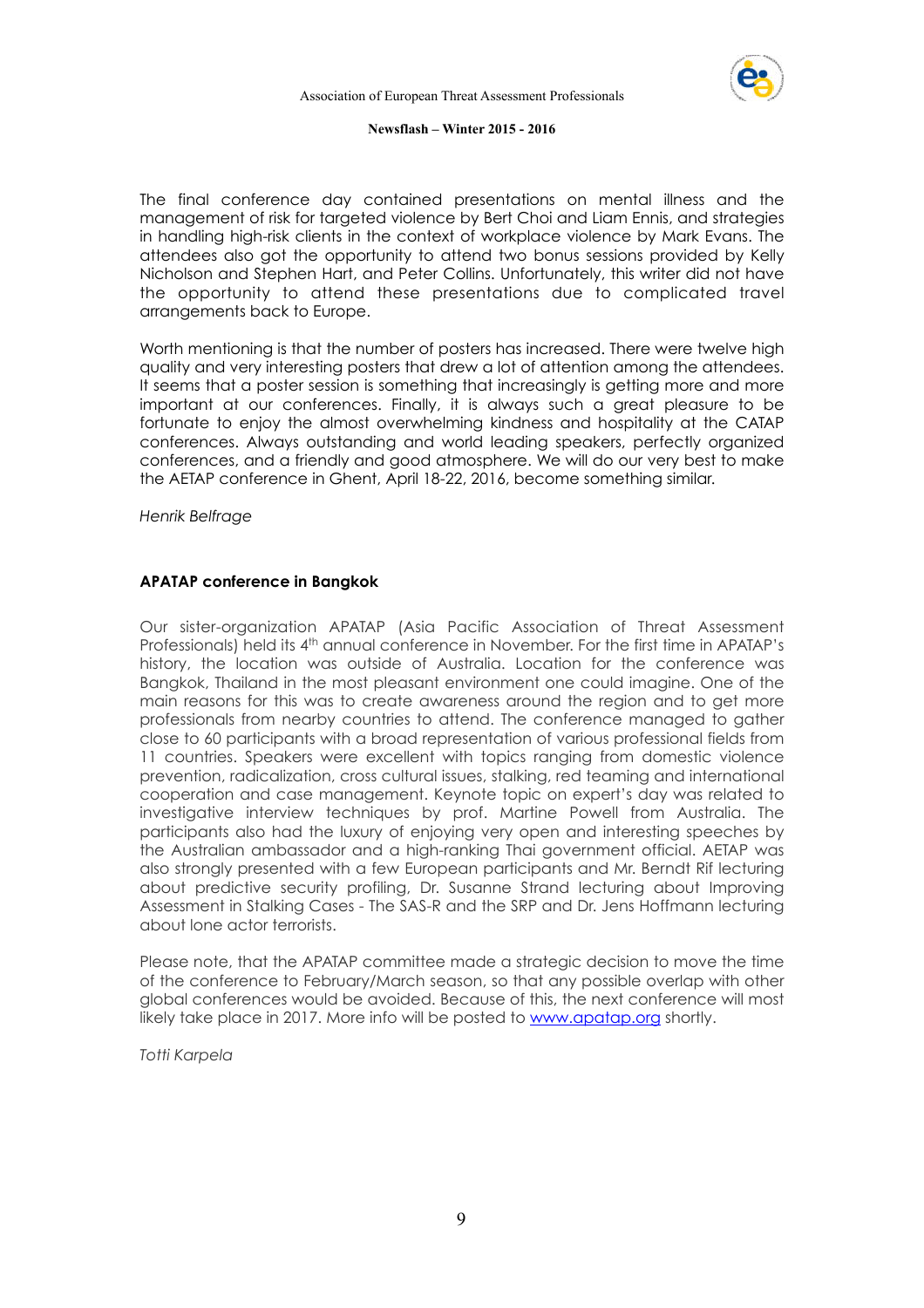

The final conference day contained presentations on mental illness and the management of risk for targeted violence by Bert Choi and Liam Ennis, and strategies in handling high-risk clients in the context of workplace violence by Mark Evans. The attendees also got the opportunity to attend two bonus sessions provided by Kelly Nicholson and Stephen Hart, and Peter Collins. Unfortunately, this writer did not have the opportunity to attend these presentations due to complicated travel arrangements back to Europe.

Worth mentioning is that the number of posters has increased. There were twelve high quality and very interesting posters that drew a lot of attention among the attendees. It seems that a poster session is something that increasingly is getting more and more important at our conferences. Finally, it is always such a great pleasure to be fortunate to enjoy the almost overwhelming kindness and hospitality at the CATAP conferences. Always outstanding and world leading speakers, perfectly organized conferences, and a friendly and good atmosphere. We will do our very best to make the AETAP conference in Ghent, April 18-22, 2016, become something similar.

*Henrik Belfrage* 

#### **APATAP conference in Bangkok**

Our sister-organization APATAP (Asia Pacific Association of Threat Assessment Professionals) held its 4<sup>th</sup> annual conference in November. For the first time in APATAP's history, the location was outside of Australia. Location for the conference was Bangkok, Thailand in the most pleasant environment one could imagine. One of the main reasons for this was to create awareness around the region and to get more professionals from nearby countries to attend. The conference managed to gather close to 60 participants with a broad representation of various professional fields from 11 countries. Speakers were excellent with topics ranging from domestic violence prevention, radicalization, cross cultural issues, stalking, red teaming and international cooperation and case management. Keynote topic on expert's day was related to investigative interview techniques by prof. Martine Powell from Australia. The participants also had the luxury of enjoying very open and interesting speeches by the Australian ambassador and a high-ranking Thai government official. AETAP was also strongly presented with a few European participants and Mr. Berndt Rif lecturing about predictive security profiling, Dr. Susanne Strand lecturing about Improving Assessment in Stalking Cases - The SAS-R and the SRP and Dr. Jens Hoffmann lecturing about lone actor terrorists.

Please note, that the APATAP committee made a strategic decision to move the time of the conference to February/March season, so that any possible overlap with other global conferences would be avoided. Because of this, the next conference will most likely take place in 2017. More info will be posted to www.apatap.org shortly.

*Totti Karpela*